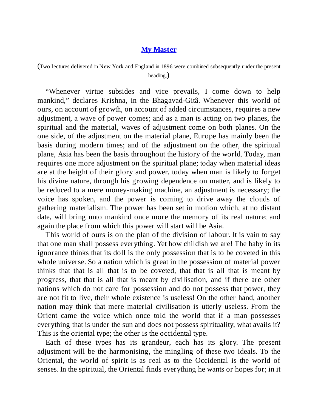## **My Master**

(Two lectures delivered in New York and England in 1896 were combined subsequently under the present heading.)

"Whenever virtue subsides and vice prevails, I come down to help mankind," declares Krishna, in the Bhagavad-Gitâ. Whenever this world of ours, on account of growth, on account of added circumstances, requires a new adjustment, a wave of power comes; and as a man is acting on two planes, the spiritual and the material, waves of adjustment come on both planes. On the one side, of the adjustment on the material plane, Europe has mainly been the basis during modern times; and of the adjustment on the other, the spiritual plane, Asia has been the basis throughout the history of the world. Today, man requires one more adjustment on the spiritual plane; today when material ideas are at the height of their glory and power, today when man is likely to forget his divine nature, through his growing dependence on matter, and is likely to be reduced to a mere money-making machine, an adjustment is necessary; the voice has spoken, and the power is coming to drive away the clouds of gathering materialism. The power has been set in motion which, at no distant date, will bring unto mankind once more the memory of its real nature; and again the place from which this power will start will be Asia.

This world of ours is on the plan of the division of labour. It is vain to say that one man shall possess everything. Yet how childish we are! The baby in its ignorance thinks that its doll is the only possession that is to be coveted in this whole universe. So a nation which is great in the possession of material power thinks that that is all that is to be coveted, that that is all that is meant by progress, that that is all that is meant by civilisation, and if there are other nations which do not care for possession and do not possess that power, they are not fit to live, their whole existence is useless! On the other hand, another nation may think that mere material civilisation is utterly useless. From the Orient came the voice which once told the world that if a man possesses everything that is under the sun and does not possess spirituality, what avails it? This is the oriental type; the other is the occidental type.

Each of these types has its grandeur, each has its glory. The present adjustment will be the harmonising, the mingling of these two ideals. To the Oriental, the world of spirit is as real as to the Occidental is the world of senses. In the spiritual, the Oriental finds everything he wants or hopes for; in it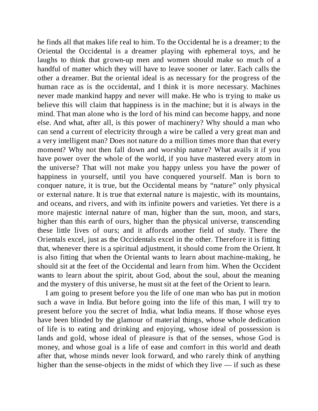he finds all that makes life real to him. To the Occidental he is a dreamer; to the Oriental the Occidental is a dreamer playing with ephemeral toys, and he laughs to think that grown-up men and women should make so much of a handful of matter which they will have to leave sooner or later. Each calls the other a dreamer. But the oriental ideal is as necessary for the progress of the human race as is the occidental, and I think it is more necessary. Machines never made mankind happy and never will make. He who is trying to make us believe this will claim that happiness is in the machine; but it is always in the mind. That man alone who is the lord of his mind can become happy, and none else. And what, after all, is this power of machinery? Why should a man who can send a current of electricity through a wire be called a very great man and a very intelligent man? Does not nature do a million times more than that every moment? Why not then fall down and worship nature? What avails it if you have power over the whole of the world, if you have mastered every atom in the universe? That will not make you happy unless you have the power of happiness in yourself, until you have conquered yourself. Man is born to conquer nature, it is true, but the Occidental means by "nature" only physical or external nature. It is true that external nature is majestic, with its mountains, and oceans, and rivers, and with its infinite powers and varieties. Yet there is a more majestic internal nature of man, higher than the sun, moon, and stars, higher than this earth of ours, higher than the physical universe, transcending these little lives of ours; and it affords another field of study. There the Orientals excel, just as the Occidentals excel in the other. Therefore it is fitting that, whenever there is a spiritual adjustment, it should come from the Orient. It is also fitting that when the Oriental wants to learn about machine-making, he should sit at the feet of the Occidental and learn from him. When the Occident wants to learn about the spirit, about God, about the soul, about the meaning and the mystery of this universe, he must sit at the feet of the Orient to learn.

I am going to present before you the life of one man who has put in motion such a wave in India. But before going into the life of this man, I will try to present before you the secret of India, what India means. If those whose eyes have been blinded by the glamour of material things, whose whole dedication of life is to eating and drinking and enjoying, whose ideal of possession is lands and gold, whose ideal of pleasure is that of the senses, whose God is money, and whose goal is a life of ease and comfort in this world and death after that, whose minds never look forward, and who rarely think of anything higher than the sense-objects in the midst of which they live — if such as these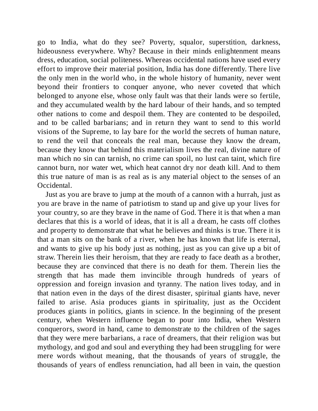go to India, what do they see? Poverty, squalor, superstition, darkness, hideousness everywhere. Why? Because in their minds enlightenment means dress, education, social politeness. Whereas occidental nations have used every effort to improve their material position, India has done differently. There live the only men in the world who, in the whole history of humanity, never went beyond their frontiers to conquer anyone, who never coveted that which belonged to anyone else, whose only fault was that their lands were so fertile, and they accumulated wealth by the hard labour of their hands, and so tempted other nations to come and despoil them. They are contented to be despoiled, and to be called barbarians; and in return they want to send to this world visions of the Supreme, to lay bare for the world the secrets of human nature, to rend the veil that conceals the real man, because they know the dream, because they know that behind this materialism lives the real, divine nature of man which no sin can tarnish, no crime can spoil, no lust can taint, which fire cannot burn, nor water wet, which heat cannot dry nor death kill. And to them this true nature of man is as real as is any material object to the senses of an Occidental.

Just as you are brave to jump at the mouth of a cannon with a hurrah, just as you are brave in the name of patriotism to stand up and give up your lives for your country, so are they brave in the name of God. There it is that when a man declares that this is a world of ideas, that it is all a dream, he casts off clothes and property to demonstrate that what he believes and thinks is true. There it is that a man sits on the bank of a river, when he has known that life is eternal, and wants to give up his body just as nothing, just as you can give up a bit of straw. Therein lies their heroism, that they are ready to face death as a brother, because they are convinced that there is no death for them. Therein lies the strength that has made them invincible through hundreds of years of oppression and foreign invasion and tyranny. The nation lives today, and in that nation even in the days of the direst disaster, spiritual giants have, never failed to arise. Asia produces giants in spirituality, just as the Occident produces giants in politics, giants in science. In the beginning of the present century, when Western influence began to pour into India, when Western conquerors, sword in hand, came to demonstrate to the children of the sages that they were mere barbarians, a race of dreamers, that their religion was but mythology, and god and soul and everything they had been struggling for were mere words without meaning, that the thousands of years of struggle, the thousands of years of endless renunciation, had all been in vain, the question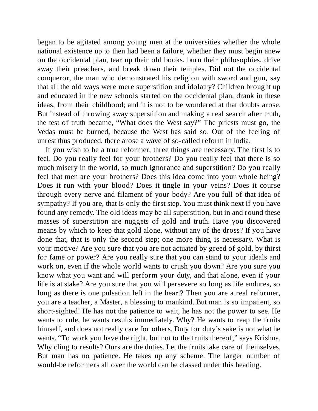began to be agitated among young men at the universities whether the whole national existence up to then had been a failure, whether they must begin anew on the occidental plan, tear up their old books, burn their philosophies, drive away their preachers, and break down their temples. Did not the occidental conqueror, the man who demonstrated his religion with sword and gun, say that all the old ways were mere superstition and idolatry? Children brought up and educated in the new schools started on the occidental plan, drank in these ideas, from their childhood; and it is not to be wondered at that doubts arose. But instead of throwing away superstition and making a real search after truth, the test of truth became, "What does the West say?" The priests must go, the Vedas must be burned, because the West has said so. Out of the feeling of unrest thus produced, there arose a wave of so-called reform in India.

If you wish to be a true reformer, three things are necessary. The first is to feel. Do you really feel for your brothers? Do you really feel that there is so much misery in the world, so much ignorance and superstition? Do you really feel that men are your brothers? Does this idea come into your whole being? Does it run with your blood? Does it tingle in your veins? Does it course through every nerve and filament of your body? Are you full of that idea of sympathy? If you are, that is only the first step. You must think next if you have found any remedy. The old ideas may be all superstition, but in and round these masses of superstition are nuggets of gold and truth. Have you discovered means by which to keep that gold alone, without any of the dross? If you have done that, that is only the second step; one more thing is necessary. What is your motive? Are you sure that you are not actuated by greed of gold, by thirst for fame or power? Are you really sure that you can stand to your ideals and work on, even if the whole world wants to crush you down? Are you sure you know what you want and will perform your duty, and that alone, even if your life is at stake? Are you sure that you will persevere so long as life endures, so long as there is one pulsation left in the heart? Then you are a real reformer, you are a teacher, a Master, a blessing to mankind. But man is so impatient, so short-sighted! He has not the patience to wait, he has not the power to see. He wants to rule, he wants results immediately. Why? He wants to reap the fruits himself, and does not really care for others. Duty for duty's sake is not what he wants. "To work you have the right, but not to the fruits thereof," says Krishna. Why cling to results? Ours are the duties. Let the fruits take care of themselves. But man has no patience. He takes up any scheme. The larger number of would-be reformers all over the world can be classed under this heading.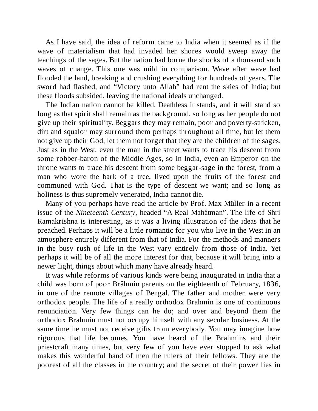As I have said, the idea of reform came to India when it seemed as if the wave of materialism that had invaded her shores would sweep away the teachings of the sages. But the nation had borne the shocks of a thousand such waves of change. This one was mild in comparison. Wave after wave had flooded the land, breaking and crushing everything for hundreds of years. The sword had flashed, and "Victory unto Allah" had rent the skies of India; but these floods subsided, leaving the national ideals unchanged.

The Indian nation cannot be killed. Deathless it stands, and it will stand so long as that spirit shall remain as the background, so long as her people do not give up their spirituality. Beggars they may remain, poor and poverty-stricken, dirt and squalor may surround them perhaps throughout all time, but let them not give up their God, let them not forget that they are the children of the sages. Just as in the West, even the man in the street wants to trace his descent from some robber-baron of the Middle Ages, so in India, even an Emperor on the throne wants to trace his descent from some beggar-sage in the forest, from a man who wore the bark of a tree, lived upon the fruits of the forest and communed with God. That is the type of descent we want; and so long as holiness is thus supremely venerated, India cannot die.

Many of you perhaps have read the article by Prof. Max Müller in a recent issue of the *Nineteenth Century*, headed "A Real Mahâtman". The life of Shri Ramakrishna is interesting, as it was a living illustration of the ideas that he preached. Perhaps it will be a little romantic for you who live in the West in an atmosphere entirely different from that of India. For the methods and manners in the busy rush of life in the West vary entirely from those of India. Yet perhaps it will be of all the more interest for that, because it will bring into a newer light, things about which many have already heard.

It was while reforms of various kinds were being inaugurated in India that a child was born of poor Brâhmin parents on the eighteenth of February, 1836, in one of the remote villages of Bengal. The father and mother were very orthodox people. The life of a really orthodox Brahmin is one of continuous renunciation. Very few things can he do; and over and beyond them the orthodox Brahmin must not occupy himself with any secular business. At the same time he must not receive gifts from everybody. You may imagine how rigorous that life becomes. You have heard of the Brahmins and their priestcraft many times, but very few of you have ever stopped to ask what makes this wonderful band of men the rulers of their fellows. They are the poorest of all the classes in the country; and the secret of their power lies in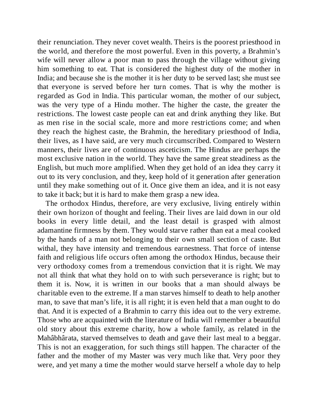their renunciation. They never covet wealth. Theirs is the poorest priesthood in the world, and therefore the most powerful. Even in this poverty, a Brahmin's wife will never allow a poor man to pass through the village without giving him something to eat. That is considered the highest duty of the mother in India; and because she is the mother it is her duty to be served last; she must see that everyone is served before her turn comes. That is why the mother is regarded as God in India. This particular woman, the mother of our subject, was the very type of a Hindu mother. The higher the caste, the greater the restrictions. The lowest caste people can eat and drink anything they like. But as men rise in the social scale, more and more restrictions come; and when they reach the highest caste, the Brahmin, the hereditary priesthood of India, their lives, as I have said, are very much circumscribed. Compared to Western manners, their lives are of continuous asceticism. The Hindus are perhaps the most exclusive nation in the world. They have the same great steadiness as the English, but much more amplified. When they get hold of an idea they carry it out to its very conclusion, and they, keep hold of it generation after generation until they make something out of it. Once give them an idea, and it is not easy to take it back; but it is hard to make them grasp a new idea.

The orthodox Hindus, therefore, are very exclusive, living entirely within their own horizon of thought and feeling. Their lives are laid down in our old books in every little detail, and the least detail is grasped with almost adamantine firmness by them. They would starve rather than eat a meal cooked by the hands of a man not belonging to their own small section of caste. But withal, they have intensity and tremendous earnestness. That force of intense faith and religious life occurs often among the orthodox Hindus, because their very orthodoxy comes from a tremendous conviction that it is right. We may not all think that what they hold on to with such perseverance is right; but to them it is. Now, it is written in our books that a man should always be charitable even to the extreme. If a man starves himself to death to help another man, to save that man's life, it is all right; it is even held that a man ought to do that. And it is expected of a Brahmin to carry this idea out to the very extreme. Those who are acquainted with the literature of India will remember a beautiful old story about this extreme charity, how a whole family, as related in the Mahâbhârata, starved themselves to death and gave their last meal to a beggar. This is not an exaggeration, for such things still happen. The character of the father and the mother of my Master was very much like that. Very poor they were, and yet many a time the mother would starve herself a whole day to help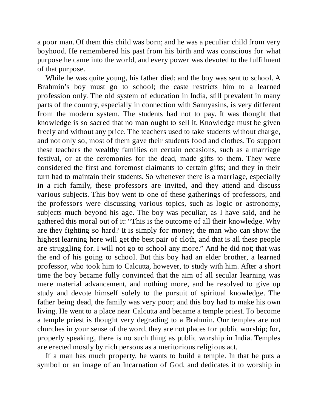a poor man. Of them this child was born; and he was a peculiar child from very boyhood. He remembered his past from his birth and was conscious for what purpose he came into the world, and every power was devoted to the fulfilment of that purpose.

While he was quite young, his father died; and the boy was sent to school. A Brahmin's boy must go to school; the caste restricts him to a learned profession only. The old system of education in India, still prevalent in many parts of the country, especially in connection with Sannyasins, is very different from the modern system. The students had not to pay. It was thought that knowledge is so sacred that no man ought to sell it. Knowledge must be given freely and without any price. The teachers used to take students without charge, and not only so, most of them gave their students food and clothes. To support these teachers the wealthy families on certain occasions, such as a marriage festival, or at the ceremonies for the dead, made gifts to them. They were considered the first and foremost claimants to certain gifts; and they in their turn had to maintain their students. So whenever there is a marriage, especially in a rich family, these professors are invited, and they attend and discuss various subjects. This boy went to one of these gatherings of professors, and the professors were discussing various topics, such as logic or astronomy, subjects much beyond his age. The boy was peculiar, as I have said, and he gathered this moral out of it: "This is the outcome of all their knowledge. Why are they fighting so hard? It is simply for money; the man who can show the highest learning here will get the best pair of cloth, and that is all these people are struggling for. I will not go to school any more." And he did not; that was the end of his going to school. But this boy had an elder brother, a learned professor, who took him to Calcutta, however, to study with him. After a short time the boy became fully convinced that the aim of all secular learning was mere material advancement, and nothing more, and he resolved to give up study and devote himself solely to the pursuit of spiritual knowledge. The father being dead, the family was very poor; and this boy had to make his own living. He went to a place near Calcutta and became a temple priest. To become a temple priest is thought very degrading to a Brahmin. Our temples are not churches in your sense of the word, they are not places for public worship; for, properly speaking, there is no such thing as public worship in India. Temples are erected mostly by rich persons as a meritorious religious act.

If a man has much property, he wants to build a temple. In that he puts a symbol or an image of an Incarnation of God, and dedicates it to worship in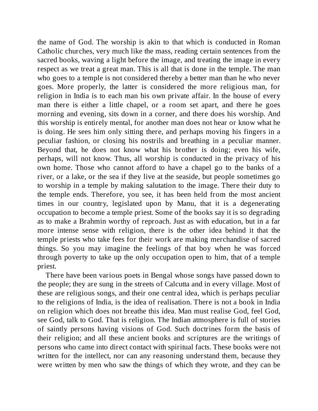the name of God. The worship is akin to that which is conducted in Roman Catholic churches, very much like the mass, reading certain sentences from the sacred books, waving a light before the image, and treating the image in every respect as we treat a great man. This is all that is done in the temple. The man who goes to a temple is not considered thereby a better man than he who never goes. More properly, the latter is considered the more religious man, for religion in India is to each man his own private affair. In the house of every man there is either a little chapel, or a room set apart, and there he goes morning and evening, sits down in a corner, and there does his worship. And this worship is entirely mental, for another man does not hear or know what he is doing. He sees him only sitting there, and perhaps moving his fingers in a peculiar fashion, or closing his nostrils and breathing in a peculiar manner. Beyond that, he does not know what his brother is doing; even his wife, perhaps, will not know. Thus, all worship is conducted in the privacy of his own home. Those who cannot afford to have a chapel go to the banks of a river, or a lake, or the sea if they live at the seaside, but people sometimes go to worship in a temple by making salutation to the image. There their duty to the temple ends. Therefore, you see, it has been held from the most ancient times in our country, legislated upon by Manu, that it is a degenerating occupation to become a temple priest. Some of the books say it is so degrading as to make a Brahmin worthy of reproach. Just as with education, but in a far more intense sense with religion, there is the other idea behind it that the temple priests who take fees for their work are making merchandise of sacred things. So you may imagine the feelings of that boy when he was forced through poverty to take up the only occupation open to him, that of a temple priest.

There have been various poets in Bengal whose songs have passed down to the people; they are sung in the streets of Calcutta and in every village. Most of these are religious songs, and their one central idea, which is perhaps peculiar to the religions of India, is the idea of realisation. There is not a book in India on religion which does not breathe this idea. Man must realise God, feel God, see God, talk to God. That is religion. The Indian atmosphere is full of stories of saintly persons having visions of God. Such doctrines form the basis of their religion; and all these ancient books and scriptures are the writings of persons who came into direct contact with spiritual facts. These books were not written for the intellect, nor can any reasoning understand them, because they were written by men who saw the things of which they wrote, and they can be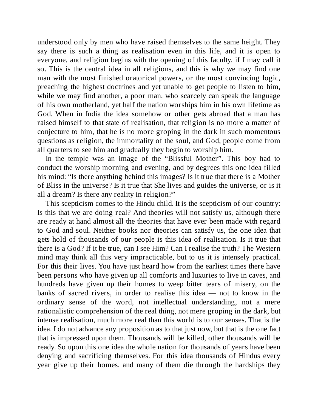understood only by men who have raised themselves to the same height. They say there is such a thing as realisation even in this life, and it is open to everyone, and religion begins with the opening of this faculty, if I may call it so. This is the central idea in all religions, and this is why we may find one man with the most finished oratorical powers, or the most convincing logic, preaching the highest doctrines and yet unable to get people to listen to him, while we may find another, a poor man, who scarcely can speak the language of his own motherland, yet half the nation worships him in his own lifetime as God. When in India the idea somehow or other gets abroad that a man has raised himself to that state of realisation, that religion is no more a matter of conjecture to him, that he is no more groping in the dark in such momentous questions as religion, the immortality of the soul, and God, people come from all quarters to see him and gradually they begin to worship him.

In the temple was an image of the "Blissful Mother". This boy had to conduct the worship morning and evening, and by degrees this one idea filled his mind: "Is there anything behind this images? Is it true that there is a Mother of Bliss in the universe? Is it true that She lives and guides the universe, or is it all a dream? Is there any reality in religion?"

This scepticism comes to the Hindu child. It is the scepticism of our country: Is this that we are doing real? And theories will not satisfy us, although there are ready at hand almost all the theories that have ever been made with regard to God and soul. Neither books nor theories can satisfy us, the one idea that gets hold of thousands of our people is this idea of realisation. Is it true that there is a God? If it be true, can I see Him? Can I realise the truth? The Western mind may think all this very impracticable, but to us it is intensely practical. For this their lives. You have just heard how from the earliest times there have been persons who have given up all comforts and luxuries to live in caves, and hundreds have given up their homes to weep bitter tears of misery, on the banks of sacred rivers, in order to realise this idea — not to know in the ordinary sense of the word, not intellectual understanding, not a mere rationalistic comprehension of the real thing, not mere groping in the dark, but intense realisation, much more real than this world is to our senses. That is the idea. I do not advance any proposition as to that just now, but that is the one fact that is impressed upon them. Thousands will be killed, other thousands will be ready. So upon this one idea the whole nation for thousands of years have been denying and sacrificing themselves. For this idea thousands of Hindus every year give up their homes, and many of them die through the hardships they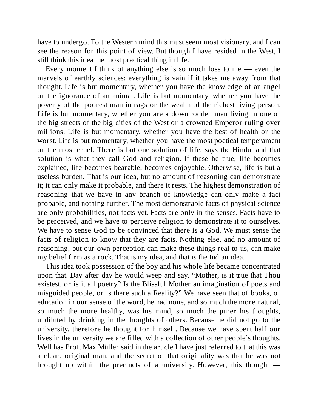have to undergo. To the Western mind this must seem most visionary, and I can see the reason for this point of view. But though I have resided in the West, I still think this idea the most practical thing in life.

Every moment I think of anything else is so much loss to me  $-$  even the marvels of earthly sciences; everything is vain if it takes me away from that thought. Life is but momentary, whether you have the knowledge of an angel or the ignorance of an animal. Life is but momentary, whether you have the poverty of the poorest man in rags or the wealth of the richest living person. Life is but momentary, whether you are a downtrodden man living in one of the big streets of the big cities of the West or a crowned Emperor ruling over millions. Life is but momentary, whether you have the best of health or the worst. Life is but momentary, whether you have the most poetical temperament or the most cruel. There is but one solution of life, says the Hindu, and that solution is what they call God and religion. If these be true, life becomes explained, life becomes bearable, becomes enjoyable. Otherwise, life is but a useless burden. That is our idea, but no amount of reasoning can demonstrate it; it can only make it probable, and there it rests. The highest demonstration of reasoning that we have in any branch of knowledge can only make a fact probable, and nothing further. The most demonstrable facts of physical science are only probabilities, not facts yet. Facts are only in the senses. Facts have to be perceived, and we have to perceive religion to demonstrate it to ourselves. We have to sense God to be convinced that there is a God. We must sense the facts of religion to know that they are facts. Nothing else, and no amount of reasoning, but our own perception can make these things real to us, can make my belief firm as a rock. That is my idea, and that is the Indian idea.

This idea took possession of the boy and his whole life became concentrated upon that. Day after day he would weep and say, "Mother, is it true that Thou existest, or is it all poetry? Is the Blissful Mother an imagination of poets and misguided people, or is there such a Reality?" We have seen that of books, of education in our sense of the word, he had none, and so much the more natural, so much the more healthy, was his mind, so much the purer his thoughts, undiluted by drinking in the thoughts of others. Because he did not go to the university, therefore he thought for himself. Because we have spent half our lives in the university we are filled with a collection of other people's thoughts. Well has Prof. Max Müller said in the article I have just referred to that this was a clean, original man; and the secret of that originality was that he was not brought up within the precincts of a university. However, this thought —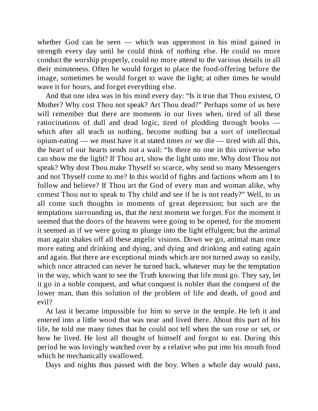whether God can be seen — which was uppermost in his mind gained in strength every day until he could think of nothing else. He could no more conduct the worship properly, could no more attend to the various details in all their minuteness. Often he would forget to place the food-offering before the image, sometimes he would forget to wave the light; at other times he would wave it for hours, and forget everything else.

And that one idea was in his mind every day: "Is it true that Thou existest, O Mother? Why cost Thou not speak? Art Thou dead?" Perhaps some of us here will remember that there are moments in our lives when, tired of all these ratiocinations of dull and dead logic, tired of plodding through books which after all teach us nothing, become nothing but a sort of intellectual opium-eating — we must have it at stated times or we die — tired with all this, the heart of our hearts sends out a wail: "Is there no one in this universe who can show me the light? If Thou art, show the light unto me. Why dost Thou not speak? Why dost Thou make Thyself so scarce, why send so many Messengers and not Thyself come to me? In this world of fights and factions whom am I to follow and believe? If Thou art the God of every man and woman alike, why comest Thou not to speak to Thy child and see if he is not ready?" Well, to us all come such thoughts in moments of great depression; but such are the temptations surrounding us, that the next moment we forget. For the moment it seemed that the doors of the heavens were going to be opened, for the moment it seemed as if we were going to plunge into the light effulgent; but the animal man again shakes off all these angelic visions. Down we go, animal man once more eating and drinking and dying, and dying and drinking and eating again and again. But there are exceptional minds which are not turned away so easily, which once attracted can never be turned back, whatever may be the temptation in the way, which want to see the Truth knowing that life must go. They say, let it go in a noble conquest, and what conquest is nobler than the conquest of the lower man, than this solution of the problem of life and death, of good and evil?

At last it became impossible for him to serve in the temple. He left it and entered into a little wood that was near and lived there. About this part of his life, he told me many times that he could not tell when the sun rose or set, or how he lived. He lost all thought of himself and forgot to eat. During this period he was lovingly watched over by a relative who put into his mouth food which he mechanically swallowed.

Days and nights thus passed with the boy. When a whole day would pass,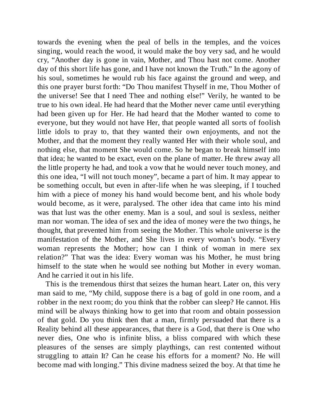towards the evening when the peal of bells in the temples, and the voices singing, would reach the wood, it would make the boy very sad, and he would cry, "Another day is gone in vain, Mother, and Thou hast not come. Another day of this short life has gone, and I have not known the Truth." In the agony of his soul, sometimes he would rub his face against the ground and weep, and this one prayer burst forth: "Do Thou manifest Thyself in me, Thou Mother of the universe! See that I need Thee and nothing else!" Verily, he wanted to be true to his own ideal. He had heard that the Mother never came until everything had been given up for Her. He had heard that the Mother wanted to come to everyone, but they would not have Her, that people wanted all sorts of foolish little idols to pray to, that they wanted their own enjoyments, and not the Mother, and that the moment they really wanted Her with their whole soul, and nothing else, that moment She would come. So he began to break himself into that idea; he wanted to be exact, even on the plane of matter. He threw away all the little property he had, and took a vow that he would never touch money, and this one idea, "I will not touch money", became a part of him. It may appear to be something occult, but even in after-life when he was sleeping, if I touched him with a piece of money his hand would become bent, and his whole body would become, as it were, paralysed. The other idea that came into his mind was that lust was the other enemy. Man is a soul, and soul is sexless, neither man nor woman. The idea of sex and the idea of money were the two things, he thought, that prevented him from seeing the Mother. This whole universe is the manifestation of the Mother, and She lives in every woman's body. "Every woman represents the Mother; how can I think of woman in mere sex relation?" That was the idea: Every woman was his Mother, he must bring himself to the state when he would see nothing but Mother in every woman. And he carried it out in his life.

This is the tremendous thirst that seizes the human heart. Later on, this very man said to me, "My child, suppose there is a bag of gold in one room, and a robber in the next room; do you think that the robber can sleep? He cannot. His mind will be always thinking how to get into that room and obtain possession of that gold. Do you think then that a man, firmly persuaded that there is a Reality behind all these appearances, that there is a God, that there is One who never dies, One who is infinite bliss, a bliss compared with which these pleasures of the senses are simply playthings, can rest contented without struggling to attain It? Can he cease his efforts for a moment? No. He will become mad with longing." This divine madness seized the boy. At that time he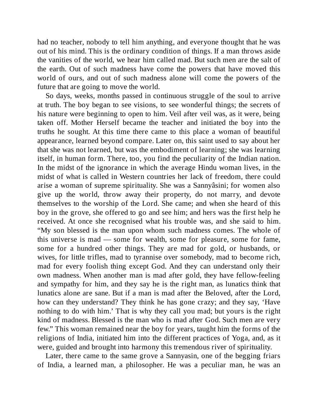had no teacher, nobody to tell him anything, and everyone thought that he was out of his mind. This is the ordinary condition of things. If a man throws aside the vanities of the world, we hear him called mad. But such men are the salt of the earth. Out of such madness have come the powers that have moved this world of ours, and out of such madness alone will come the powers of the future that are going to move the world.

So days, weeks, months passed in continuous struggle of the soul to arrive at truth. The boy began to see visions, to see wonderful things; the secrets of his nature were beginning to open to him. Veil after veil was, as it were, being taken off. Mother Herself became the teacher and initiated the boy into the truths he sought. At this time there came to this place a woman of beautiful appearance, learned beyond compare. Later on, this saint used to say about her that she was not learned, but was the embodiment of learning; she was learning itself, in human form. There, too, you find the peculiarity of the Indian nation. In the midst of the ignorance in which the average Hindu woman lives, in the midst of what is called in Western countries her lack of freedom, there could arise a woman of supreme spirituality. She was a Sannyâsini; for women also give up the world, throw away their property, do not marry, and devote themselves to the worship of the Lord. She came; and when she heard of this boy in the grove, she offered to go and see him; and hers was the first help he received. At once she recognised what his trouble was, and she said to him. "My son blessed is the man upon whom such madness comes. The whole of this universe is mad — some for wealth, some for pleasure, some for fame, some for a hundred other things. They are mad for gold, or husbands, or wives, for little trifles, mad to tyrannise over somebody, mad to become rich, mad for every foolish thing except God. And they can understand only their own madness. When another man is mad after gold, they have fellow-feeling and sympathy for him, and they say he is the right man, as lunatics think that lunatics alone are sane. But if a man is mad after the Beloved, after the Lord, how can they understand? They think he has gone crazy; and they say, 'Have nothing to do with him.' That is why they call you mad; but yours is the right kind of madness. Blessed is the man who is mad after God. Such men are very few." This woman remained near the boy for years, taught him the forms of the religions of India, initiated him into the different practices of Yoga, and, as it were, guided and brought into harmony this tremendous river of spirituality.

Later, there came to the same grove a Sannyasin, one of the begging friars of India, a learned man, a philosopher. He was a peculiar man, he was an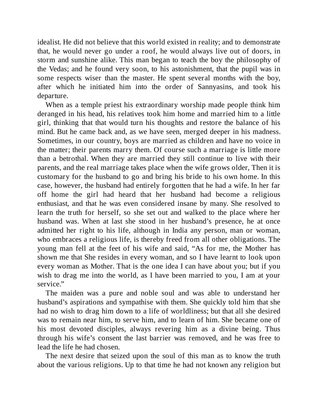idealist. He did not believe that this world existed in reality; and to demonstrate that, he would never go under a roof, he would always live out of doors, in storm and sunshine alike. This man began to teach the boy the philosophy of the Vedas; and he found very soon, to his astonishment, that the pupil was in some respects wiser than the master. He spent several months with the boy, after which he initiated him into the order of Sannyasins, and took his departure.

When as a temple priest his extraordinary worship made people think him deranged in his head, his relatives took him home and married him to a little girl, thinking that that would turn his thoughts and restore the balance of his mind. But he came back and, as we have seen, merged deeper in his madness. Sometimes, in our country, boys are married as children and have no voice in the matter; their parents marry them. Of course such a marriage is little more than a betrothal. When they are married they still continue to live with their parents, and the real marriage takes place when the wife grows older, Then it is customary for the husband to go and bring his bride to his own home. In this case, however, the husband had entirely forgotten that he had a wife. In her far off home the girl had heard that her husband had become a religious enthusiast, and that he was even considered insane by many. She resolved to learn the truth for herself, so she set out and walked to the place where her husband was. When at last she stood in her husband's presence, he at once admitted her right to his life, although in India any person, man or woman, who embraces a religious life, is thereby freed from all other obligations. The young man fell at the feet of his wife and said, "As for me, the Mother has shown me that She resides in every woman, and so I have learnt to look upon every woman as Mother. That is the one idea I can have about you; but if you wish to drag me into the world, as I have been married to you, I am at your service."

The maiden was a pure and noble soul and was able to understand her husband's aspirations and sympathise with them. She quickly told him that she had no wish to drag him down to a life of worldliness; but that all she desired was to remain near him, to serve him, and to learn of him. She became one of his most devoted disciples, always revering him as a divine being. Thus through his wife's consent the last barrier was removed, and he was free to lead the life he had chosen.

The next desire that seized upon the soul of this man as to know the truth about the various religions. Up to that time he had not known any religion but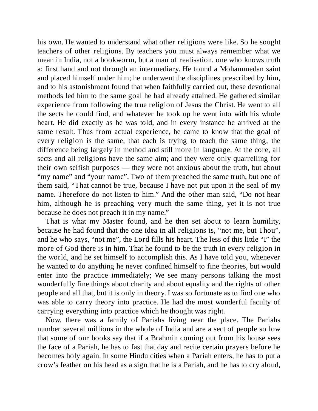his own. He wanted to understand what other religions were like. So he sought teachers of other religions. By teachers you must always remember what we mean in India, not a bookworm, but a man of realisation, one who knows truth a; first hand and not through an intermediary. He found a Mohammedan saint and placed himself under him; he underwent the disciplines prescribed by him, and to his astonishment found that when faithfully carried out, these devotional methods led him to the same goal he had already attained. He gathered similar experience from following the true religion of Jesus the Christ. He went to all the sects he could find, and whatever he took up he went into with his whole heart. He did exactly as he was told, and in every instance he arrived at the same result. Thus from actual experience, he came to know that the goal of every religion is the same, that each is trying to teach the same thing, the difference being largely in method and still more in language. At the core, all sects and all religions have the same aim; and they were only quarrelling for their own selfish purposes — they were not anxious about the truth, but about "my name" and "your name". Two of them preached the same truth, but one of them said, "That cannot be true, because I have not put upon it the seal of my name. Therefore do not listen to him." And the other man said, "Do not hear him, although he is preaching very much the same thing, yet it is not true because he does not preach it in my name."

That is what my Master found, and he then set about to learn humility, because he had found that the one idea in all religions is, "not me, but Thou", and he who says, "not me", the Lord fills his heart. The less of this little "I" the more of God there is in him. That he found to be the truth in every religion in the world, and he set himself to accomplish this. As I have told you, whenever he wanted to do anything he never confined himself to fine theories, but would enter into the practice immediately; We see many persons talking the most wonderfully fine things about charity and about equality and the rights of other people and all that, but it is only in theory. I was so fortunate as to find one who was able to carry theory into practice. He had the most wonderful faculty of carrying everything into practice which he thought was right.

Now, there was a family of Pariahs living near the place. The Pariahs number several millions in the whole of India and are a sect of people so low that some of our books say that if a Brahmin coming out from his house sees the face of a Pariah, he has to fast that day and recite certain prayers before he becomes holy again. In some Hindu cities when a Pariah enters, he has to put a crow's feather on his head as a sign that he is a Pariah, and he has to cry aloud,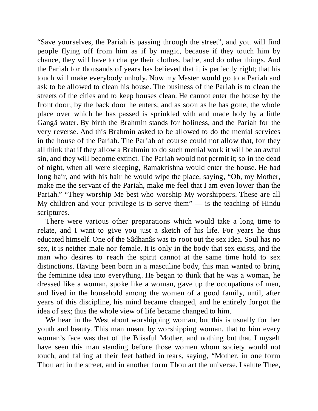"Save yourselves, the Pariah is passing through the street", and you will find people flying off from him as if by magic, because if they touch him by chance, they will have to change their clothes, bathe, and do other things. And the Pariah for thousands of years has believed that it is perfectly right; that his touch will make everybody unholy. Now my Master would go to a Pariah and ask to be allowed to clean his house. The business of the Pariah is to clean the streets of the cities and to keep houses clean. He cannot enter the house by the front door; by the back door he enters; and as soon as he has gone, the whole place over which he has passed is sprinkled with and made holy by a little Gangâ water. By birth the Brahmin stands for holiness, and the Pariah for the very reverse. And this Brahmin asked to be allowed to do the menial services in the house of the Pariah. The Pariah of course could not allow that, for they all think that if they allow a Brahmin to do such menial work it will be an awful sin, and they will become extinct. The Pariah would not permit it; so in the dead of night, when all were sleeping, Ramakrishna would enter the house. He had long hair, and with his hair he would wipe the place, saying, "Oh, my Mother, make me the servant of the Pariah, make me feel that I am even lower than the Pariah." "They worship Me best who worship My worshippers. These are all My children and your privilege is to serve them" — is the teaching of Hindu scriptures.

There were various other preparations which would take a long time to relate, and I want to give you just a sketch of his life. For years he thus educated himself. One of the Sâdhanâs was to root out the sex idea. Soul has no sex, it is neither male nor female. It is only in the body that sex exists, and the man who desires to reach the spirit cannot at the same time hold to sex distinctions. Having been born in a masculine body, this man wanted to bring the feminine idea into everything. He began to think that he was a woman, he dressed like a woman, spoke like a woman, gave up the occupations of men, and lived in the household among the women of a good family, until, after years of this discipline, his mind became changed, and he entirely forgot the idea of sex; thus the whole view of life became changed to him.

We hear in the West about worshipping woman, but this is usually for her youth and beauty. This man meant by worshipping woman, that to him every woman's face was that of the Blissful Mother, and nothing but that. I myself have seen this man standing before those women whom society would not touch, and falling at their feet bathed in tears, saying, "Mother, in one form Thou art in the street, and in another form Thou art the universe. I salute Thee,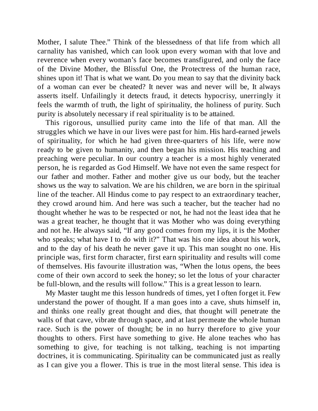Mother, I salute Thee." Think of the blessedness of that life from which all carnality has vanished, which can look upon every woman with that love and reverence when every woman's face becomes transfigured, and only the face of the Divine Mother, the Blissful One, the Protectress of the human race, shines upon it! That is what we want. Do you mean to say that the divinity back of a woman can ever be cheated? It never was and never will be, It always asserts itself. Unfailingly it detects fraud, it detects hypocrisy, unerringly it feels the warmth of truth, the light of spirituality, the holiness of purity. Such purity is absolutely necessary if real spirituality is to be attained.

This rigorous, unsullied purity came into the life of that man. All the struggles which we have in our lives were past for him. His hard-earned jewels of spirituality, for which he had given three-quarters of his life, were now ready to be given to humanity, and then began his mission. His teaching and preaching were peculiar. In our country a teacher is a most highly venerated person, he is regarded as God Himself. We have not even the same respect for our father and mother. Father and mother give us our body, but the teacher shows us the way to salvation. We are his children, we are born in the spiritual line of the teacher. All Hindus come to pay respect to an extraordinary teacher, they crowd around him. And here was such a teacher, but the teacher had no thought whether he was to be respected or not, he had not the least idea that he was a great teacher, he thought that it was Mother who was doing everything and not he. He always said, "If any good comes from my lips, it is the Mother who speaks; what have I to do with it?" That was his one idea about his work, and to the day of his death he never gave it up. This man sought no one. His principle was, first form character, first earn spirituality and results will come of themselves. His favourite illustration was, "When the lotus opens, the bees come of their own accord to seek the honey; so let the lotus of your character be full-blown, and the results will follow." This is a great lesson to learn.

My Master taught me this lesson hundreds of times, yet I often forget it. Few understand the power of thought. If a man goes into a cave, shuts himself in, and thinks one really great thought and dies, that thought will penetrate the walls of that cave, vibrate through space, and at last permeate the whole human race. Such is the power of thought; be in no hurry therefore to give your thoughts to others. First have something to give. He alone teaches who has something to give, for teaching is not talking, teaching is not imparting doctrines, it is communicating. Spirituality can be communicated just as really as I can give you a flower. This is true in the most literal sense. This idea is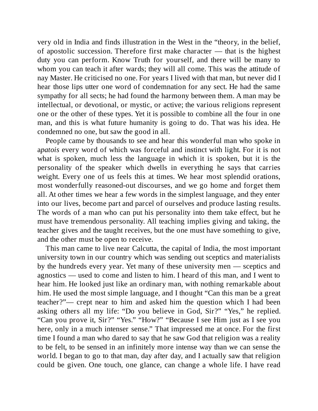very old in India and finds illustration in the West in the "theory, in the belief, of apostolic succession. Therefore first make character — that is the highest duty you can perform. Know Truth for yourself, and there will be many to whom you can teach it after wards; they will all come. This was the attitude of nay Master. He criticised no one. For years I lived with that man, but never did I hear those lips utter one word of condemnation for any sect. He had the same sympathy for all sects; he had found the harmony between them. A man may be intellectual, or devotional, or mystic, or active; the various religions represent one or the other of these types. Yet it is possible to combine all the four in one man, and this is what future humanity is going to do. That was his idea. He condemned no one, but saw the good in all.

People came by thousands to see and hear this wonderful man who spoke in a*patois* every word of which was forceful and instinct with light. For it is not what is spoken, much less the language in which it is spoken, but it is the personality of the speaker which dwells in everything he says that carries weight. Every one of us feels this at times. We hear most splendid orations, most wonderfully reasoned-out discourses, and we go home and forget them all. At other times we hear a few words in the simplest language, and they enter into our lives, become part and parcel of ourselves and produce lasting results. The words of a man who can put his personality into them take effect, but he must have tremendous personality. All teaching implies giving and taking, the teacher gives and the taught receives, but the one must have something to give, and the other must be open to receive.

This man came to live near Calcutta, the capital of India, the most important university town in our country which was sending out sceptics and materialists by the hundreds every year. Yet many of these university men — sceptics and agnostics — used to come and listen to him. I heard of this man, and I went to hear him. He looked just like an ordinary man, with nothing remarkable about him. He used the most simple language, and I thought "Can this man be a great teacher?"— crept near to him and asked him the question which I had been asking others all my life: "Do you believe in God, Sir?" "Yes," he replied. "Can you prove it, Sir?" "Yes." "How?" "Because I see Him just as I see you here, only in a much intenser sense." That impressed me at once. For the first time I found a man who dared to say that he saw God that religion was a reality to be felt, to be sensed in an infinitely more intense way than we can sense the world. I began to go to that man, day after day, and I actually saw that religion could be given. One touch, one glance, can change a whole life. I have read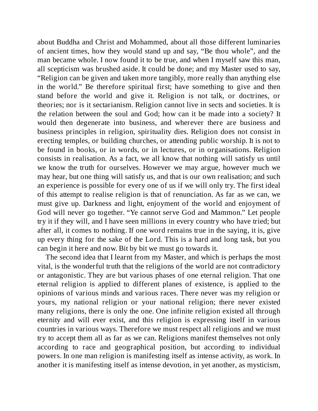about Buddha and Christ and Mohammed, about all those different luminaries of ancient times, how they would stand up and say, "Be thou whole", and the man became whole. I now found it to be true, and when I myself saw this man, all scepticism was brushed aside. It could be done; and my Master used to say, "Religion can be given and taken more tangibly, more really than anything else in the world." Be therefore spiritual first; have something to give and then stand before the world and give it. Religion is not talk, or doctrines, or theories; nor is it sectarianism. Religion cannot live in sects and societies. It is the relation between the soul and God; how can it be made into a society? It would then degenerate into business, and wherever there are business and business principles in religion, spirituality dies. Religion does not consist in erecting temples, or building churches, or attending public worship. It is not to be found in books, or in words, or in lectures, or in organisations. Religion consists in realisation. As a fact, we all know that nothing will satisfy us until we know the truth for ourselves. However we may argue, however much we may hear, but one thing will satisfy us, and that is our own realisation; and such an experience is possible for every one of us if we will only try. The first ideal of this attempt to realise religion is that of renunciation. As far as we can, we must give up. Darkness and light, enjoyment of the world and enjoyment of God will never go together. "Ye cannot serve God and Mammon." Let people try it if they will, and I have seen millions in every country who have tried; but after all, it comes to nothing. If one word remains true in the saying, it is, give up every thing for the sake of the Lord. This is a hard and long task, but you can begin it here and now. Bit by bit we must go towards it.

The second idea that I learnt from my Master, and which is perhaps the most vital, is the wonderful truth that the religions of the world are not contradictory or antagonistic. They are but various phases of one eternal religion. That one eternal religion is applied to different planes of existence, is applied to the opinions of various minds and various races. There never was my religion or yours, my national religion or your national religion; there never existed many religions, there is only the one. One infinite religion existed all through eternity and will ever exist, and this religion is expressing itself in various countries in various ways. Therefore we must respect all religions and we must try to accept them all as far as we can. Religions manifest themselves not only according to race and geographical position, but according to individual powers. In one man religion is manifesting itself as intense activity, as work. In another it is manifesting itself as intense devotion, in yet another, as mysticism,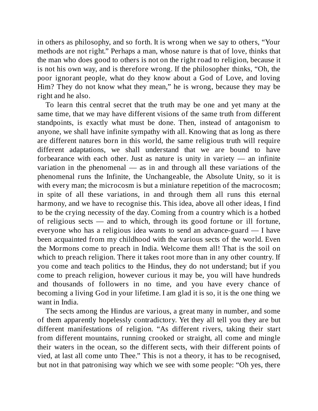in others as philosophy, and so forth. It is wrong when we say to others, "Your methods are not right." Perhaps a man, whose nature is that of love, thinks that the man who does good to others is not on the right road to religion, because it is not his own way, and is therefore wrong. If the philosopher thinks, "Oh, the poor ignorant people, what do they know about a God of Love, and loving Him? They do not know what they mean," he is wrong, because they may be right and he also.

To learn this central secret that the truth may be one and yet many at the same time, that we may have different visions of the same truth from different standpoints, is exactly what must be done. Then, instead of antagonism to anyone, we shall have infinite sympathy with all. Knowing that as long as there are different natures born in this world, the same religious truth will require different adaptations, we shall understand that we are bound to have forbearance with each other. Just as nature is unity in variety  $-$  an infinite variation in the phenomenal — as in and through all these variations of the phenomenal runs the Infinite, the Unchangeable, the Absolute Unity, so it is with every man; the microcosm is but a miniature repetition of the macrocosm; in spite of all these variations, in and through them all runs this eternal harmony, and we have to recognise this. This idea, above all other ideas, I find to be the crying necessity of the day. Coming from a country which is a hotbed of religious sects — and to which, through its good fortune or ill fortune, everyone who has a religious idea wants to send an advance-guard — I have been acquainted from my childhood with the various sects of the world. Even the Mormons come to preach in India. Welcome them all! That is the soil on which to preach religion. There it takes root more than in any other country. If you come and teach politics to the Hindus, they do not understand; but if you come to preach religion, however curious it may be, you will have hundreds and thousands of followers in no time, and you have every chance of becoming a living God in your lifetime. I am glad it is so, it is the one thing we want in India.

The sects among the Hindus are various, a great many in number, and some of them apparently hopelessly contradictory. Yet they all tell you they are but different manifestations of religion. "As different rivers, taking their start from different mountains, running crooked or straight, all come and mingle their waters in the ocean, so the different sects, with their different points of vied, at last all come unto Thee." This is not a theory, it has to be recognised, but not in that patronising way which we see with some people: "Oh yes, there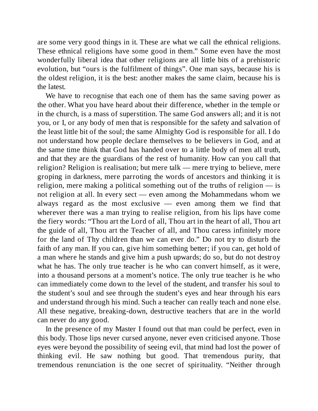are some very good things in it. These are what we call the ethnical religions. These ethnical religions have some good in them." Some even have the most wonderfully liberal idea that other religions are all little bits of a prehistoric evolution, but "ours is the fulfilment of things". One man says, because his is the oldest religion, it is the best: another makes the same claim, because his is the latest.

We have to recognise that each one of them has the same saving power as the other. What you have heard about their difference, whether in the temple or in the church, is a mass of superstition. The same God answers all; and it is not you, or I, or any body of men that is responsible for the safety and salvation of the least little bit of the soul; the same Almighty God is responsible for all. I do not understand how people declare themselves to be believers in God, and at the same time think that God has handed over to a little body of men all truth, and that they are the guardians of the rest of humanity. How can you call that religion? Religion is realisation; but mere talk — mere trying to believe, mere groping in darkness, mere parroting the words of ancestors and thinking it is religion, mere making a political something out of the truths of religion — is not religion at all. In every sect — even among the Mohammedans whom we always regard as the most exclusive — even among them we find that wherever there was a man trying to realise religion, from his lips have come the fiery words: "Thou art the Lord of all, Thou art in the heart of all, Thou art the guide of all, Thou art the Teacher of all, and Thou caress infinitely more for the land of Thy children than we can ever do." Do not try to disturb the faith of any man. If you can, give him something better; if you can, get hold of a man where he stands and give him a push upwards; do so, but do not destroy what he has. The only true teacher is he who can convert himself, as it were, into a thousand persons at a moment's notice. The only true teacher is he who can immediately come down to the level of the student, and transfer his soul to the student's soul and see through the student's eyes and hear through his ears and understand through his mind. Such a teacher can really teach and none else. All these negative, breaking-down, destructive teachers that are in the world can never do any good.

In the presence of my Master I found out that man could be perfect, even in this body. Those lips never cursed anyone, never even criticised anyone. Those eyes were beyond the possibility of seeing evil, that mind had lost the power of thinking evil. He saw nothing but good. That tremendous purity, that tremendous renunciation is the one secret of spirituality. "Neither through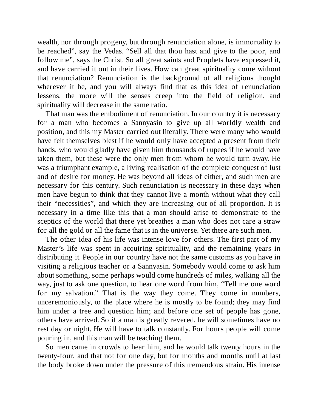wealth, nor through progeny, but through renunciation alone, is immortality to be reached", say the Vedas. "Sell all that thou hast and give to the poor, and follow me", says the Christ. So all great saints and Prophets have expressed it, and have carried it out in their lives. How can great spirituality come without that renunciation? Renunciation is the background of all religious thought wherever it be, and you will always find that as this idea of renunciation lessens, the more will the senses creep into the field of religion, and spirituality will decrease in the same ratio.

That man was the embodiment of renunciation. In our country it is necessary for a man who becomes a Sannyasin to give up all worldly wealth and position, and this my Master carried out literally. There were many who would have felt themselves blest if he would only have accepted a present from their hands, who would gladly have given him thousands of rupees if he would have taken them, but these were the only men from whom he would turn away. He was a triumphant example, a living realisation of the complete conquest of lust and of desire for money. He was beyond all ideas of either, and such men are necessary for this century. Such renunciation is necessary in these days when men have begun to think that they cannot live a month without what they call their "necessities", and which they are increasing out of all proportion. It is necessary in a time like this that a man should arise to demonstrate to the sceptics of the world that there yet breathes a man who does not care a straw for all the gold or all the fame that is in the universe. Yet there are such men.

The other idea of his life was intense love for others. The first part of my Master's life was spent in acquiring spirituality, and the remaining years in distributing it. People in our country have not the same customs as you have in visiting a religious teacher or a Sannyasin. Somebody would come to ask him about something, some perhaps would come hundreds of miles, walking all the way, just to ask one question, to hear one word from him, "Tell me one word for my salvation." That is the way they come. They come in numbers, unceremoniously, to the place where he is mostly to be found; they may find him under a tree and question him; and before one set of people has gone, others have arrived. So if a man is greatly revered, he will sometimes have no rest day or night. He will have to talk constantly. For hours people will come pouring in, and this man will be teaching them.

So men came in crowds to hear him, and he would talk twenty hours in the twenty-four, and that not for one day, but for months and months until at last the body broke down under the pressure of this tremendous strain. His intense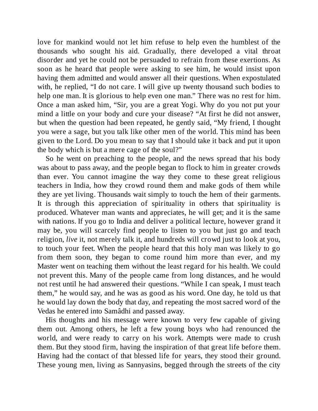love for mankind would not let him refuse to help even the humblest of the thousands who sought his aid. Gradually, there developed a vital throat disorder and yet he could not be persuaded to refrain from these exertions. As soon as he heard that people were asking to see him, he would insist upon having them admitted and would answer all their questions. When expostulated with, he replied, "I do not care. I will give up twenty thousand such bodies to help one man. It is glorious to help even one man." There was no rest for him. Once a man asked him, "Sir, you are a great Yogi. Why do you not put your mind a little on your body and cure your disease? "At first he did not answer, but when the question had been repeated, he gently said, "My friend, I thought you were a sage, but you talk like other men of the world. This mind has been given to the Lord. Do you mean to say that I should take it back and put it upon the body which is but a mere cage of the soul?"

So he went on preaching to the people, and the news spread that his body was about to pass away, and the people began to flock to him in greater crowds than ever. You cannot imagine the way they come to these great religious teachers in India, how they crowd round them and make gods of them while they are yet living. Thousands wait simply to touch the hem of their garments. It is through this appreciation of spirituality in others that spirituality is produced. Whatever man wants and appreciates, he will get; and it is the same with nations. If you go to India and deliver a political lecture, however grand it may be, you will scarcely find people to listen to you but just go and teach religion, *live* it, not merely talk it, and hundreds will crowd just to look at you, to touch your feet. When the people heard that this holy man was likely to go from them soon, they began to come round him more than ever, and my Master went on teaching them without the least regard for his health. We could not prevent this. Many of the people came from long distances, and he would not rest until he had answered their questions. "While I can speak, I must teach them," he would say, and he was as good as his word. One day, he told us that he would lay down the body that day, and repeating the most sacred word of the Vedas he entered into Samâdhi and passed away.

His thoughts and his message were known to very few capable of giving them out. Among others, he left a few young boys who had renounced the world, and were ready to carry on his work. Attempts were made to crush them. But they stood firm, having the inspiration of that great life before them. Having had the contact of that blessed life for years, they stood their ground. These young men, living as Sannyasins, begged through the streets of the city